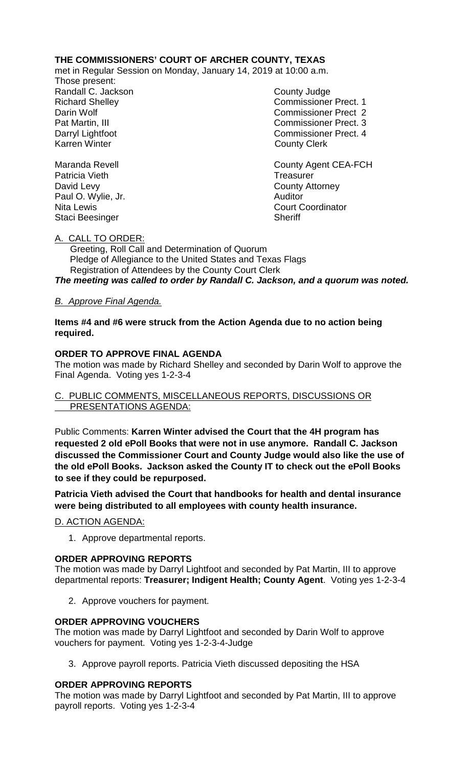# **THE COMMISSIONERS' COURT OF ARCHER COUNTY, TEXAS**

met in Regular Session on Monday, January 14, 2019 at 10:00 a.m.

Those present: Randall C. Jackson County Judge

Richard Shelley **Commissioner Prect. 1** Darin Wolf Commissioner Prect 2 Pat Martin, III Commissioner Prect. 3 Darryl Lightfoot **Commissioner Prect. 4**<br>
Karren Winter **County County Clerk County Clerk** 

Maranda Revell **Maranda** Revell **County Agent CEA-FCH** Patricia Vieth **Treasurer** Treasurer David Levy **County Attorney** Paul O. Wylie, Jr. **Auditor** Auditor Nita Lewis Court Coordinator Staci Beesinger Sheriff

## A. CALL TO ORDER:

 Greeting, Roll Call and Determination of Quorum Pledge of Allegiance to the United States and Texas Flags Registration of Attendees by the County Court Clerk

*The meeting was called to order by Randall C. Jackson, and a quorum was noted.*

# *B. Approve Final Agenda.*

**Items #4 and #6 were struck from the Action Agenda due to no action being required.**

## **ORDER TO APPROVE FINAL AGENDA**

The motion was made by Richard Shelley and seconded by Darin Wolf to approve the Final Agenda. Voting yes 1-2-3-4

## C. PUBLIC COMMENTS, MISCELLANEOUS REPORTS, DISCUSSIONS OR PRESENTATIONS AGENDA:

Public Comments: **Karren Winter advised the Court that the 4H program has requested 2 old ePoll Books that were not in use anymore. Randall C. Jackson discussed the Commissioner Court and County Judge would also like the use of the old ePoll Books. Jackson asked the County IT to check out the ePoll Books to see if they could be repurposed.** 

**Patricia Vieth advised the Court that handbooks for health and dental insurance were being distributed to all employees with county health insurance.**

D. ACTION AGENDA:

1. Approve departmental reports.

#### **ORDER APPROVING REPORTS**

The motion was made by Darryl Lightfoot and seconded by Pat Martin, III to approve departmental reports: **Treasurer; Indigent Health; County Agent**. Voting yes 1-2-3-4

2. Approve vouchers for payment.

#### **ORDER APPROVING VOUCHERS**

The motion was made by Darryl Lightfoot and seconded by Darin Wolf to approve vouchers for payment. Voting yes 1-2-3-4-Judge

3. Approve payroll reports. Patricia Vieth discussed depositing the HSA

# **ORDER APPROVING REPORTS**

The motion was made by Darryl Lightfoot and seconded by Pat Martin, III to approve payroll reports. Voting yes 1-2-3-4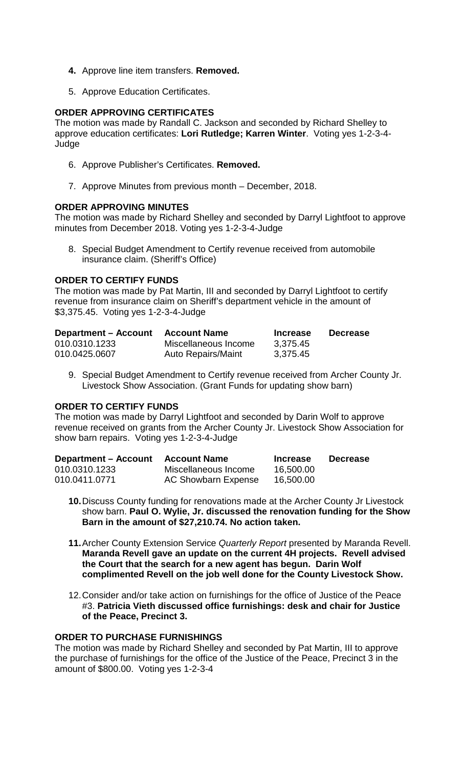- **4.** Approve line item transfers. **Removed.**
- 5. Approve Education Certificates.

## **ORDER APPROVING CERTIFICATES**

The motion was made by Randall C. Jackson and seconded by Richard Shelley to approve education certificates: **Lori Rutledge; Karren Winter**. Voting yes 1-2-3-4- Judge

- 6. Approve Publisher's Certificates. **Removed.**
- 7. Approve Minutes from previous month December, 2018.

## **ORDER APPROVING MINUTES**

The motion was made by Richard Shelley and seconded by Darryl Lightfoot to approve minutes from December 2018. Voting yes 1-2-3-4-Judge

8. Special Budget Amendment to Certify revenue received from automobile insurance claim. (Sheriff's Office)

## **ORDER TO CERTIFY FUNDS**

The motion was made by Pat Martin, III and seconded by Darryl Lightfoot to certify revenue from insurance claim on Sheriff's department vehicle in the amount of \$3,375.45. Voting yes 1-2-3-4-Judge

| <b>Department – Account</b> | <b>Account Name</b>       | <b>Increase</b> | <b>Decrease</b> |
|-----------------------------|---------------------------|-----------------|-----------------|
| 010.0310.1233               | Miscellaneous Income      | 3,375.45        |                 |
| 010.0425.0607               | <b>Auto Repairs/Maint</b> | 3,375.45        |                 |

9. Special Budget Amendment to Certify revenue received from Archer County Jr. Livestock Show Association. (Grant Funds for updating show barn)

#### **ORDER TO CERTIFY FUNDS**

The motion was made by Darryl Lightfoot and seconded by Darin Wolf to approve revenue received on grants from the Archer County Jr. Livestock Show Association for show barn repairs. Voting yes 1-2-3-4-Judge

| <b>Department - Account</b> | <b>Account Name</b>  | <b>Increase</b> | <b>Decrease</b> |
|-----------------------------|----------------------|-----------------|-----------------|
| 010.0310.1233               | Miscellaneous Income | 16,500.00       |                 |
| 010.0411.0771               | AC Showbarn Expense  | 16,500.00       |                 |

- **10.**Discuss County funding for renovations made at the Archer County Jr Livestock show barn. **Paul O. Wylie, Jr. discussed the renovation funding for the Show Barn in the amount of \$27,210.74. No action taken.**
- **11.**Archer County Extension Service *Quarterly Report* presented by Maranda Revell. **Maranda Revell gave an update on the current 4H projects. Revell advised the Court that the search for a new agent has begun. Darin Wolf complimented Revell on the job well done for the County Livestock Show.**
- 12.Consider and/or take action on furnishings for the office of Justice of the Peace #3. **Patricia Vieth discussed office furnishings: desk and chair for Justice of the Peace, Precinct 3.**

#### **ORDER TO PURCHASE FURNISHINGS**

The motion was made by Richard Shelley and seconded by Pat Martin, III to approve the purchase of furnishings for the office of the Justice of the Peace, Precinct 3 in the amount of \$800.00. Voting yes 1-2-3-4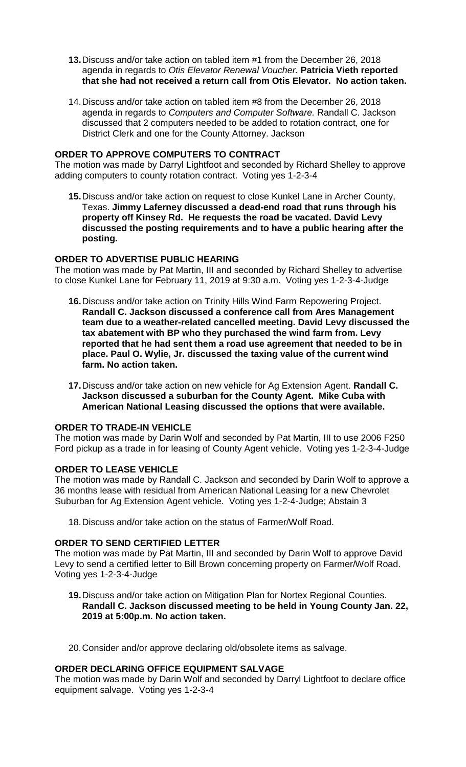- **13.**Discuss and/or take action on tabled item #1 from the December 26, 2018 agenda in regards to *Otis Elevator Renewal Voucher.* **Patricia Vieth reported that she had not received a return call from Otis Elevator. No action taken.**
- 14.Discuss and/or take action on tabled item #8 from the December 26, 2018 agenda in regards to *Computers and Computer Software.* Randall C. Jackson discussed that 2 computers needed to be added to rotation contract, one for District Clerk and one for the County Attorney. Jackson

## **ORDER TO APPROVE COMPUTERS TO CONTRACT**

The motion was made by Darryl Lightfoot and seconded by Richard Shelley to approve adding computers to county rotation contract. Voting yes 1-2-3-4

**15.**Discuss and/or take action on request to close Kunkel Lane in Archer County, Texas. **Jimmy Laferney discussed a dead-end road that runs through his property off Kinsey Rd. He requests the road be vacated. David Levy discussed the posting requirements and to have a public hearing after the posting.**

## **ORDER TO ADVERTISE PUBLIC HEARING**

The motion was made by Pat Martin, III and seconded by Richard Shelley to advertise to close Kunkel Lane for February 11, 2019 at 9:30 a.m. Voting yes 1-2-3-4-Judge

- **16.**Discuss and/or take action on Trinity Hills Wind Farm Repowering Project. **Randall C. Jackson discussed a conference call from Ares Management team due to a weather-related cancelled meeting. David Levy discussed the tax abatement with BP who they purchased the wind farm from. Levy reported that he had sent them a road use agreement that needed to be in place. Paul O. Wylie, Jr. discussed the taxing value of the current wind farm. No action taken.**
- **17.**Discuss and/or take action on new vehicle for Ag Extension Agent. **Randall C. Jackson discussed a suburban for the County Agent. Mike Cuba with American National Leasing discussed the options that were available.**

# **ORDER TO TRADE-IN VEHICLE**

The motion was made by Darin Wolf and seconded by Pat Martin, III to use 2006 F250 Ford pickup as a trade in for leasing of County Agent vehicle. Voting yes 1-2-3-4-Judge

#### **ORDER TO LEASE VEHICLE**

The motion was made by Randall C. Jackson and seconded by Darin Wolf to approve a 36 months lease with residual from American National Leasing for a new Chevrolet Suburban for Ag Extension Agent vehicle. Voting yes 1-2-4-Judge; Abstain 3

18.Discuss and/or take action on the status of Farmer/Wolf Road.

# **ORDER TO SEND CERTIFIED LETTER**

The motion was made by Pat Martin, III and seconded by Darin Wolf to approve David Levy to send a certified letter to Bill Brown concerning property on Farmer/Wolf Road. Voting yes 1-2-3-4-Judge

**19.**Discuss and/or take action on Mitigation Plan for Nortex Regional Counties. **Randall C. Jackson discussed meeting to be held in Young County Jan. 22, 2019 at 5:00p.m. No action taken.**

20.Consider and/or approve declaring old/obsolete items as salvage.

#### **ORDER DECLARING OFFICE EQUIPMENT SALVAGE**

The motion was made by Darin Wolf and seconded by Darryl Lightfoot to declare office equipment salvage. Voting yes 1-2-3-4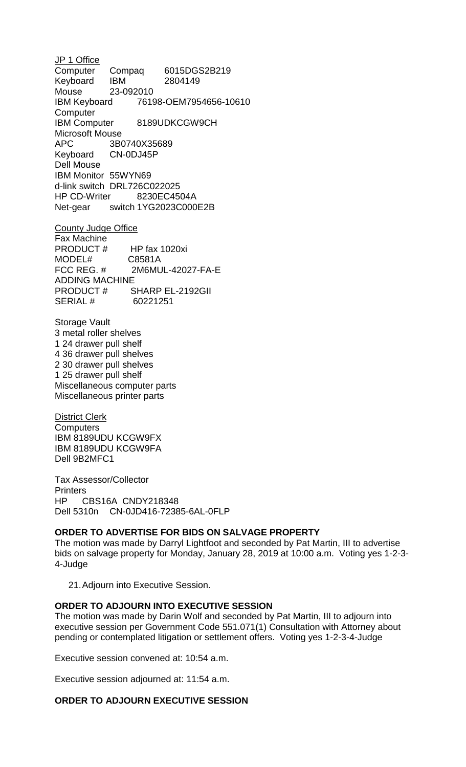JP 1 Office Computer Compaq 6015DGS2B219 Keyboard IBM 2804149 Mouse 23-092010 IBM Keyboard 76198-OEM7954656-10610 **Computer** IBM Computer 8189UDKCGW9CH Microsoft Mouse APC 3B0740X35689 Keyboard CN-0DJ45P Dell Mouse IBM Monitor 55WYN69 d-link switch DRL726C022025 HP CD-Writer 8230EC4504A Net-gear switch 1YG2023C000E2B

County Judge Office Fax Machine<br>PRODUCT # HP fax 1020xi<br>C8581A MODEL# C8581A FCC REG. # 2M6MUL-42027-FA-E ADDING MACHINE PRODUCT # SHARP EL-2192GII SERIAL # 60221251

Storage Vault 3 metal roller shelves 1 24 drawer pull shelf 4 36 drawer pull shelves 2 30 drawer pull shelves 1 25 drawer pull shelf Miscellaneous computer parts Miscellaneous printer parts

District Clerk **Computers** IBM 8189UDU KCGW9FX IBM 8189UDU KCGW9FA Dell 9B2MFC1

Tax Assessor/Collector **Printers** HP CBS16A CNDY218348 Dell 5310n CN-0JD416-72385-6AL-0FLP

# **ORDER TO ADVERTISE FOR BIDS ON SALVAGE PROPERTY**

The motion was made by Darryl Lightfoot and seconded by Pat Martin, III to advertise bids on salvage property for Monday, January 28, 2019 at 10:00 a.m. Voting yes 1-2-3- 4-Judge

21.Adjourn into Executive Session.

#### **ORDER TO ADJOURN INTO EXECUTIVE SESSION**

The motion was made by Darin Wolf and seconded by Pat Martin, III to adjourn into executive session per Government Code 551.071(1) Consultation with Attorney about pending or contemplated litigation or settlement offers. Voting yes 1-2-3-4-Judge

Executive session convened at: 10:54 a.m.

Executive session adjourned at: 11:54 a.m.

# **ORDER TO ADJOURN EXECUTIVE SESSION**